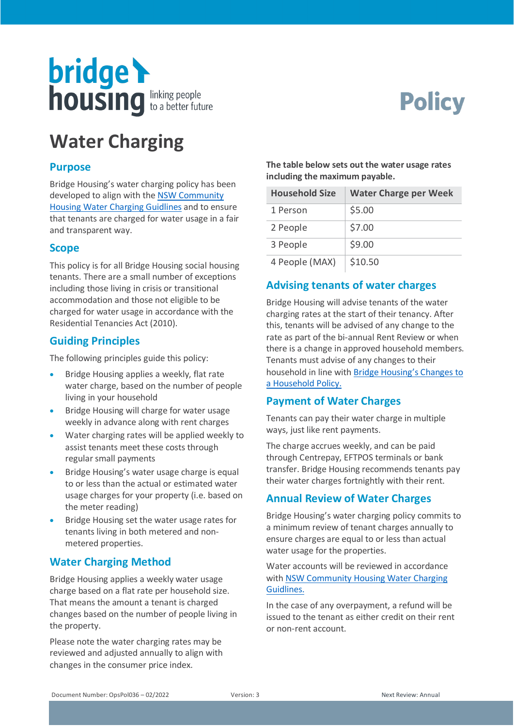

# **Policy**

# **Water Charging**

#### **Purpose**

Bridge Housing's water charging policy has been developed to align with th[e NSW Community](https://www.facs.nsw.gov.au/download?file=333281)  Housing [Water Charging](https://www.facs.nsw.gov.au/download?file=333281) Guidlines and to ensure that tenants are charged for water usage in a fair and transparent way.

#### **Scope**

This policy is for all Bridge Housing social housing tenants. There are a small number of exceptions including those living in crisis or transitional accommodation and those not eligible to be charged for water usage in accordance with the Residential Tenancies Act (2010).

#### **Guiding Principles**

The following principles guide this policy:

- Bridge Housing applies a weekly, flat rate water charge, based on the number of people living in your household
- Bridge Housing will charge for water usage weekly in advance along with rent charges
- Water charging rates will be applied weekly to assist tenants meet these costs through regular small payments
- Bridge Housing's water usage charge is equal to or less than the actual or estimated water usage charges for your property (i.e. based on the meter reading)
- Bridge Housing set the water usage rates for tenants living in both metered and nonmetered properties.

# **Water Charging Method**

Bridge Housing applies a weekly water usage charge based on a flat rate per household size. That means the amount a tenant is charged changes based on the number of people living in the property.

Please note the water charging rates may be reviewed and adjusted annually to align with changes in the consumer price index.

**The table below sets out the water usage rates including the maximum payable.**

| <b>Household Size</b> | <b>Water Charge per Week</b> |
|-----------------------|------------------------------|
| 1 Person              | \$5.00                       |
| 2 People              | \$7.00                       |
| 3 People              | \$9.00                       |
| 4 People (MAX)        | \$10.50                      |

# **Advising tenants of water charges**

Bridge Housing will advise tenants of the water charging rates at the start of their tenancy. After this, tenants will be advised of any change to the rate as part of the bi-annual Rent Review or when there is a change in approved household members. Tenants must advise of any changes to their household in line with [Bridge Housing's Changes to](https://www.bridgehousing.org.au/documents/909-changes-to-a-household-policy/file#:%7E:text=Tenants%20are%20required%20to%20tell,updated%20details%2C%20including%20revised%20income.&text=Tenants%20are%20responsible%20for%20informing,any%20changes%20in%20their%20household.)  [a Household Policy.](https://www.bridgehousing.org.au/documents/909-changes-to-a-household-policy/file#:%7E:text=Tenants%20are%20required%20to%20tell,updated%20details%2C%20including%20revised%20income.&text=Tenants%20are%20responsible%20for%20informing,any%20changes%20in%20their%20household.)

#### **Payment of Water Charges**

Tenants can pay their water charge in multiple ways, just like rent payments.

The charge accrues weekly, and can be paid through Centrepay, EFTPOS terminals or bank transfer. Bridge Housing recommends tenants pay their water charges fortnightly with their rent.

# **Annual Review of Water Charges**

Bridge Housing's water charging policy commits to a minimum review of tenant charges annually to ensure charges are equal to or less than actual water usage for the properties.

Water accounts will be reviewed in accordance with [NSW Community Housing Water Charging](https://www.facs.nsw.gov.au/download?file=333281)  [Guidlines.](https://www.facs.nsw.gov.au/download?file=333281)

In the case of any overpayment, a refund will be issued to the tenant as either credit on their rent or non-rent account.